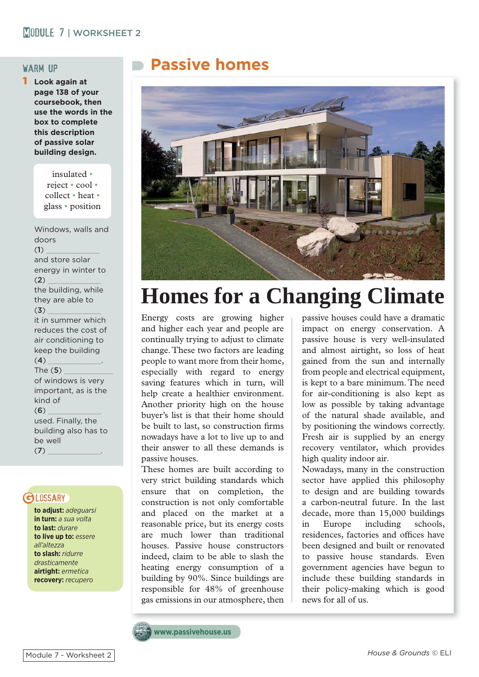### MORKSHEET 2

1 **Look again at page 138 of your coursebook, then use the words in the box to complete this description of passive solar building design.**

> insulated • reject • cool • collect • heat • glass • position

Windows, walls and doors  $(1)$ and store solar energy in winter to  $(2)$ the building, while they are able to  $(3)$ it in summer which reduces the cost of air conditioning to keep the building  $(4)$ The  $(5)$ of windows is very important, as is the kind of  $(6)$ used. Finally, the building also has to be well  $(7)$ 

### **GLOSSARY**

**to adjust:** *adeguarsi* **in turn:** *a sua volta* **to last:** *durare* **to live up to:** *essere all'altezza* **to slash:** *ridurre drasticamente* **airtight:** *ermetica* **recovery:** *recupero*

## WARM UP**Passive homes**



# **Homes for a Changing Climate**

Energy costs are growing higher and higher each year and people are continually trying to adjust to climate change. These two factors are leading people to want more from their home, especially with regard to energy saving features which in turn, will help create a healthier environment. Another priority high on the house buyer's list is that their home should be built to last, so construction firms nowadays have a lot to live up to and their answer to all these demands is passive houses.

These homes are built according to very strict building standards which ensure that on completion, the construction is not only comfortable and placed on the market at a reasonable price, but its energy costs are much lower than traditional houses. Passive house constructors indeed, claim to be able to slash the heating energy consumption of a building by 90%. Since buildings are responsible for 48% of greenhouse gas emissions in our atmosphere, then passive houses could have a dramatic impact on energy conservation. A passive house is very well-insulated and almost airtight, so loss of heat gained from the sun and internally from people and electrical equipment, is kept to a bare minimum. The need for air-conditioning is also kept as low as possible by taking advantage of the natural shade available, and by positioning the windows correctly. Fresh air is supplied by an energy recovery ventilator, which provides high quality indoor air.

Nowadays, many in the construction sector have applied this philosophy to design and are building towards a carbon-neutral future. In the last decade, more than 15,000 buildings in Europe including schools, residences, factories and offices have been designed and built or renovated to passive house standards. Even government agencies have begun to include these building standards in their policy-making which is good news for all of us.

**www.passivehouse.us**